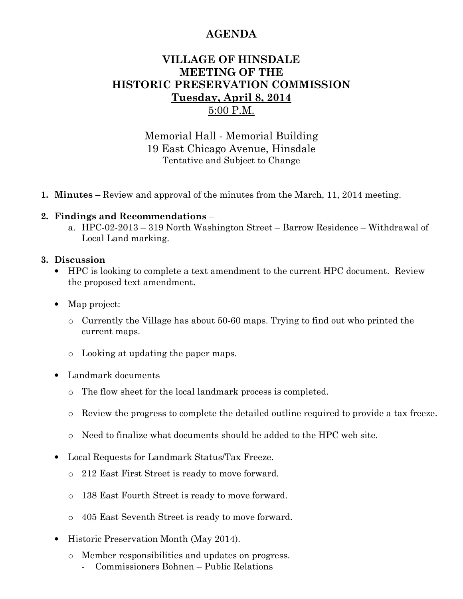# **AGENDA**

## **VILLAGE OF HINSDALE MEETING OF THE HISTORIC PRESERVATION COMMISSION Tuesday, April 8, 2014**  5:00 P.M.

Memorial Hall - Memorial Building 19 East Chicago Avenue, Hinsdale Tentative and Subject to Change

**1. Minutes** – Review and approval of the minutes from the March, 11, 2014 meeting.

### **2. Findings and Recommendations** –

a. HPC-02-2013 – 319 North Washington Street – Barrow Residence – Withdrawal of Local Land marking.

#### **3. Discussion**

- HPC is looking to complete a text amendment to the current HPC document. Review the proposed text amendment.
- Map project:
	- o Currently the Village has about 50-60 maps. Trying to find out who printed the current maps.
	- o Looking at updating the paper maps.
- Landmark documents
	- o The flow sheet for the local landmark process is completed.
	- o Review the progress to complete the detailed outline required to provide a tax freeze.
	- o Need to finalize what documents should be added to the HPC web site.
- Local Requests for Landmark Status/Tax Freeze.
	- o 212 East First Street is ready to move forward.
	- o 138 East Fourth Street is ready to move forward.
	- o 405 East Seventh Street is ready to move forward.
- Historic Preservation Month (May 2014).
	- o Member responsibilities and updates on progress.
		- Commissioners Bohnen Public Relations